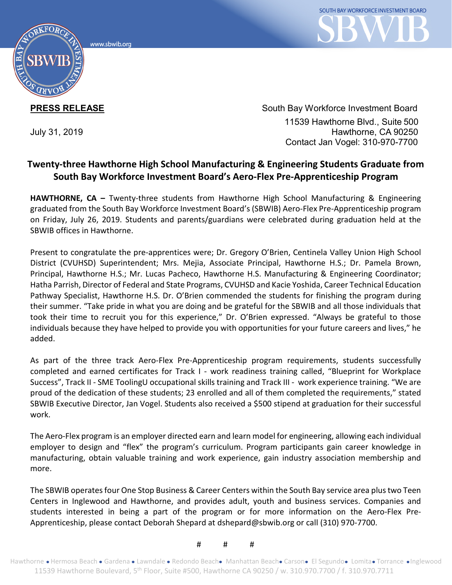www.sbwib.org



**PRESS RELEASE** South Bay Workforce Investment Board 11539 Hawthorne Blvd., Suite 500 July 31, 2019 Hawthorne, CA 90250 Contact Jan Vogel: 310-970-7700

## **Twenty-three Hawthorne High School Manufacturing & Engineering Students Graduate from South Bay Workforce Investment Board's Aero-Flex Pre-Apprenticeship Program**

**HAWTHORNE, CA –** Twenty-three students from Hawthorne High School Manufacturing & Engineering graduated from the South Bay Workforce Investment Board's (SBWIB) Aero-Flex Pre-Apprenticeship program on Friday, July 26, 2019. Students and parents/guardians were celebrated during graduation held at the SBWIB offices in Hawthorne.

Present to congratulate the pre-apprentices were; Dr. Gregory O'Brien, Centinela Valley Union High School District (CVUHSD) Superintendent; Mrs. Mejia, Associate Principal, Hawthorne H.S.; Dr. Pamela Brown, Principal, Hawthorne H.S.; Mr. Lucas Pacheco, Hawthorne H.S. Manufacturing & Engineering Coordinator; Hatha Parrish, Director of Federal and State Programs, CVUHSD and Kacie Yoshida, Career Technical Education Pathway Specialist, Hawthorne H.S. Dr. O'Brien commended the students for finishing the program during their summer. "Take pride in what you are doing and be grateful for the SBWIB and all those individuals that took their time to recruit you for this experience," Dr. O'Brien expressed. "Always be grateful to those individuals because they have helped to provide you with opportunities for your future careers and lives," he added.

As part of the three track Aero-Flex Pre-Apprenticeship program requirements, students successfully completed and earned certificates for Track I - work readiness training called, "Blueprint for Workplace Success", Track II - SME ToolingU occupational skills training and Track III - work experience training. "We are proud of the dedication of these students; 23 enrolled and all of them completed the requirements," stated SBWIB Executive Director, Jan Vogel. Students also received a \$500 stipend at graduation for their successful work.

The Aero-Flex program is an employer directed earn and learn model for engineering, allowing each individual employer to design and "flex" the program's curriculum. Program participants gain career knowledge in manufacturing, obtain valuable training and work experience, gain industry association membership and more.

The SBWIB operates four One Stop Business & Career Centers within the South Bay service area plus two Teen Centers in Inglewood and Hawthorne, and provides adult, youth and business services. Companies and students interested in being a part of the program or for more information on the Aero-Flex Pre-Apprenticeship, please contact Deborah Shepard at dshepard@sbwib.org or call (310) 970-7700.

# # #